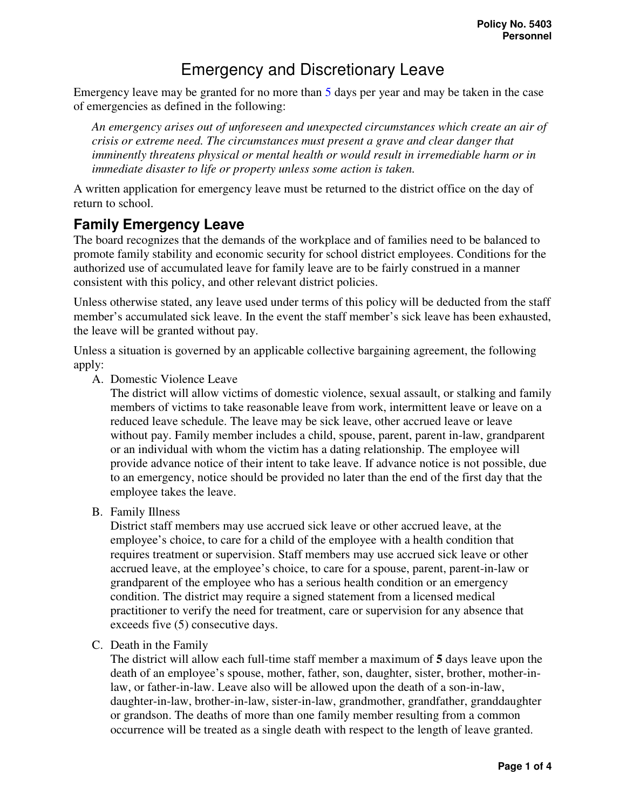# Emergency and Discretionary Leave

Emergency leave may be granted for no more than 5 days per year and may be taken in the case of emergencies as defined in the following:

*An emergency arises out of unforeseen and unexpected circumstances which create an air of crisis or extreme need. The circumstances must present a grave and clear danger that imminently threatens physical or mental health or would result in irremediable harm or in immediate disaster to life or property unless some action is taken.* 

A written application for emergency leave must be returned to the district office on the day of return to school.

### **Family Emergency Leave**

The board recognizes that the demands of the workplace and of families need to be balanced to promote family stability and economic security for school district employees. Conditions for the authorized use of accumulated leave for family leave are to be fairly construed in a manner consistent with this policy, and other relevant district policies.

Unless otherwise stated, any leave used under terms of this policy will be deducted from the staff member's accumulated sick leave. In the event the staff member's sick leave has been exhausted, the leave will be granted without pay.

Unless a situation is governed by an applicable collective bargaining agreement, the following apply:

A. Domestic Violence Leave

The district will allow victims of domestic violence, sexual assault, or stalking and family members of victims to take reasonable leave from work, intermittent leave or leave on a reduced leave schedule. The leave may be sick leave, other accrued leave or leave without pay. Family member includes a child, spouse, parent, parent in-law, grandparent or an individual with whom the victim has a dating relationship. The employee will provide advance notice of their intent to take leave. If advance notice is not possible, due to an emergency, notice should be provided no later than the end of the first day that the employee takes the leave.

B. Family Illness

District staff members may use accrued sick leave or other accrued leave, at the employee's choice, to care for a child of the employee with a health condition that requires treatment or supervision. Staff members may use accrued sick leave or other accrued leave, at the employee's choice, to care for a spouse, parent, parent-in-law or grandparent of the employee who has a serious health condition or an emergency condition. The district may require a signed statement from a licensed medical practitioner to verify the need for treatment, care or supervision for any absence that exceeds five (5) consecutive days.

C. Death in the Family

The district will allow each full-time staff member a maximum of **5** days leave upon the death of an employee's spouse, mother, father, son, daughter, sister, brother, mother-inlaw, or father-in-law. Leave also will be allowed upon the death of a son-in-law, daughter-in-law, brother-in-law, sister-in-law, grandmother, grandfather, granddaughter or grandson. The deaths of more than one family member resulting from a common occurrence will be treated as a single death with respect to the length of leave granted.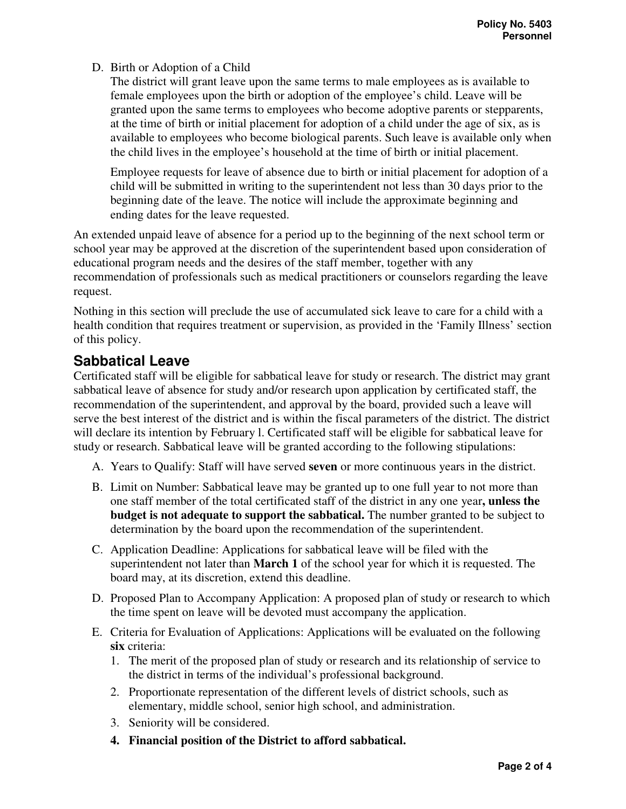#### D. Birth or Adoption of a Child

The district will grant leave upon the same terms to male employees as is available to female employees upon the birth or adoption of the employee's child. Leave will be granted upon the same terms to employees who become adoptive parents or stepparents, at the time of birth or initial placement for adoption of a child under the age of six, as is available to employees who become biological parents. Such leave is available only when the child lives in the employee's household at the time of birth or initial placement.

Employee requests for leave of absence due to birth or initial placement for adoption of a child will be submitted in writing to the superintendent not less than 30 days prior to the beginning date of the leave. The notice will include the approximate beginning and ending dates for the leave requested.

An extended unpaid leave of absence for a period up to the beginning of the next school term or school year may be approved at the discretion of the superintendent based upon consideration of educational program needs and the desires of the staff member, together with any recommendation of professionals such as medical practitioners or counselors regarding the leave request.

Nothing in this section will preclude the use of accumulated sick leave to care for a child with a health condition that requires treatment or supervision, as provided in the 'Family Illness' section of this policy.

# **Sabbatical Leave**

Certificated staff will be eligible for sabbatical leave for study or research. The district may grant sabbatical leave of absence for study and/or research upon application by certificated staff, the recommendation of the superintendent, and approval by the board, provided such a leave will serve the best interest of the district and is within the fiscal parameters of the district. The district will declare its intention by February l. Certificated staff will be eligible for sabbatical leave for study or research. Sabbatical leave will be granted according to the following stipulations:

- A. Years to Qualify: Staff will have served **seven** or more continuous years in the district.
- B. Limit on Number: Sabbatical leave may be granted up to one full year to not more than one staff member of the total certificated staff of the district in any one year**, unless the budget is not adequate to support the sabbatical.** The number granted to be subject to determination by the board upon the recommendation of the superintendent.
- C. Application Deadline: Applications for sabbatical leave will be filed with the superintendent not later than **March 1** of the school year for which it is requested. The board may, at its discretion, extend this deadline.
- D. Proposed Plan to Accompany Application: A proposed plan of study or research to which the time spent on leave will be devoted must accompany the application.
- E. Criteria for Evaluation of Applications: Applications will be evaluated on the following **six** criteria:
	- 1. The merit of the proposed plan of study or research and its relationship of service to the district in terms of the individual's professional background.
	- 2. Proportionate representation of the different levels of district schools, such as elementary, middle school, senior high school, and administration.
	- 3. Seniority will be considered.
	- **4. Financial position of the District to afford sabbatical.**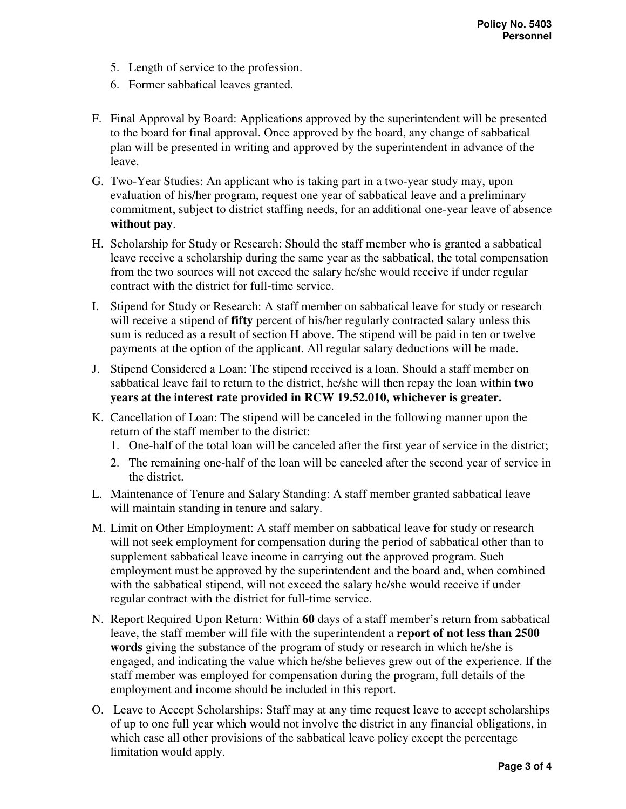- 5. Length of service to the profession.
- 6. Former sabbatical leaves granted.
- F. Final Approval by Board: Applications approved by the superintendent will be presented to the board for final approval. Once approved by the board, any change of sabbatical plan will be presented in writing and approved by the superintendent in advance of the leave.
- G. Two-Year Studies: An applicant who is taking part in a two-year study may, upon evaluation of his/her program, request one year of sabbatical leave and a preliminary commitment, subject to district staffing needs, for an additional one-year leave of absence **without pay**.
- H. Scholarship for Study or Research: Should the staff member who is granted a sabbatical leave receive a scholarship during the same year as the sabbatical, the total compensation from the two sources will not exceed the salary he/she would receive if under regular contract with the district for full-time service.
- I. Stipend for Study or Research: A staff member on sabbatical leave for study or research will receive a stipend of **fifty** percent of his/her regularly contracted salary unless this sum is reduced as a result of section H above. The stipend will be paid in ten or twelve payments at the option of the applicant. All regular salary deductions will be made.
- J. Stipend Considered a Loan: The stipend received is a loan. Should a staff member on sabbatical leave fail to return to the district, he/she will then repay the loan within **two years at the interest rate provided in RCW 19.52.010, whichever is greater.**
- K. Cancellation of Loan: The stipend will be canceled in the following manner upon the return of the staff member to the district:
	- 1. One-half of the total loan will be canceled after the first year of service in the district;
	- 2. The remaining one-half of the loan will be canceled after the second year of service in the district.
- L. Maintenance of Tenure and Salary Standing: A staff member granted sabbatical leave will maintain standing in tenure and salary.
- M. Limit on Other Employment: A staff member on sabbatical leave for study or research will not seek employment for compensation during the period of sabbatical other than to supplement sabbatical leave income in carrying out the approved program. Such employment must be approved by the superintendent and the board and, when combined with the sabbatical stipend, will not exceed the salary he/she would receive if under regular contract with the district for full-time service.
- N. Report Required Upon Return: Within **60** days of a staff member's return from sabbatical leave, the staff member will file with the superintendent a **report of not less than 2500 words** giving the substance of the program of study or research in which he/she is engaged, and indicating the value which he/she believes grew out of the experience. If the staff member was employed for compensation during the program, full details of the employment and income should be included in this report.
- O. Leave to Accept Scholarships: Staff may at any time request leave to accept scholarships of up to one full year which would not involve the district in any financial obligations, in which case all other provisions of the sabbatical leave policy except the percentage limitation would apply.